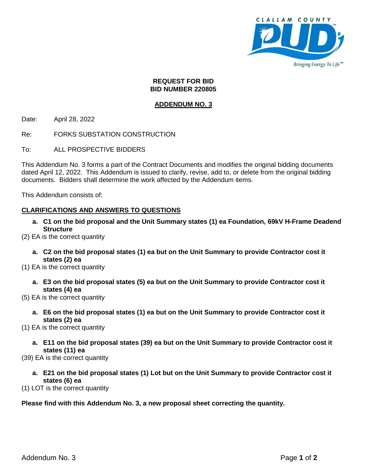

#### **REQUEST FOR BID BID NUMBER 220805**

# **ADDENDUM NO. 3**

Date: April 28, 2022

Re: FORKS SUBSTATION CONSTRUCTION

To: ALL PROSPECTIVE BIDDERS

This Addendum No. 3 forms a part of the Contract Documents and modifies the original bidding documents dated April 12, 2022. This Addendum is issued to clarify, revise, add to, or delete from the original bidding documents. Bidders shall determine the work affected by the Addendum items.

This Addendum consists of:

# **CLARIFICATIONS AND ANSWERS TO QUESTIONS**

- **a. C1 on the bid proposal and the Unit Summary states (1) ea Foundation, 69kV H-Frame Deadend Structure**
- (2) EA is the correct quantity
	- **a. C2 on the bid proposal states (1) ea but on the Unit Summary to provide Contractor cost it states (2) ea**
- (1) EA is the correct quantity
	- **a. E3 on the bid proposal states (5) ea but on the Unit Summary to provide Contractor cost it states (4) ea**
- (5) EA is the correct quantity
	- **a. E6 on the bid proposal states (1) ea but on the Unit Summary to provide Contractor cost it states (2) ea**

(1) EA is the correct quantity

**a. E11 on the bid proposal states (39) ea but on the Unit Summary to provide Contractor cost it states (11) ea**

(39) EA is the correct quantity

**a. E21 on the bid proposal states (1) Lot but on the Unit Summary to provide Contractor cost it states (6) ea**

(1) LOT is the correct quantity

## **Please find with this Addendum No. 3, a new proposal sheet correcting the quantity.**